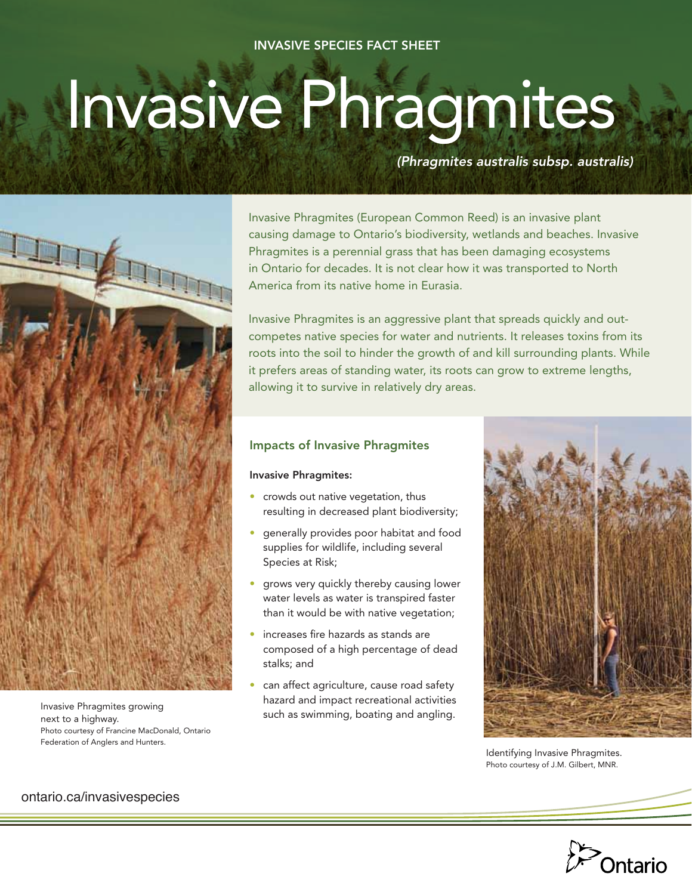## Invasive Species Fact Sheet

# Invasive Phragmites

*(Phragmites australis subsp. australis)* 



Invasive Phragmites growing next to a highway. Photo courtesy of Francine MacDonald, Ontario Federation of Anglers and Hunters.

Invasive Phragmites (European Common Reed) is an invasive plant causing damage to Ontario's biodiversity, wetlands and beaches. Invasive Phragmites is a perennial grass that has been damaging ecosystems in Ontario for decades. It is not clear how it was transported to North America from its native home in Eurasia.

Invasive Phragmites is an aggressive plant that spreads quickly and outcompetes native species for water and nutrients. It releases toxins from its roots into the soil to hinder the growth of and kill surrounding plants. While it prefers areas of standing water, its roots can grow to extreme lengths, allowing it to survive in relatively dry areas.

## Impacts of Invasive Phragmites

Invasive Phragmites:

- crowds out native vegetation, thus resulting in decreased plant biodiversity;
- generally provides poor habitat and food supplies for wildlife, including several Species at Risk;
- grows very quickly thereby causing lower water levels as water is transpired faster than it would be with native vegetation;
- increases fire hazards as stands are composed of a high percentage of dead stalks; and
- can affect agriculture, cause road safety hazard and impact recreational activities such as swimming, boating and angling.



Identifying Invasive Phragmites. Photo courtesy of J.M. Gilbert, MNR.



ontario.ca/invasivespecies